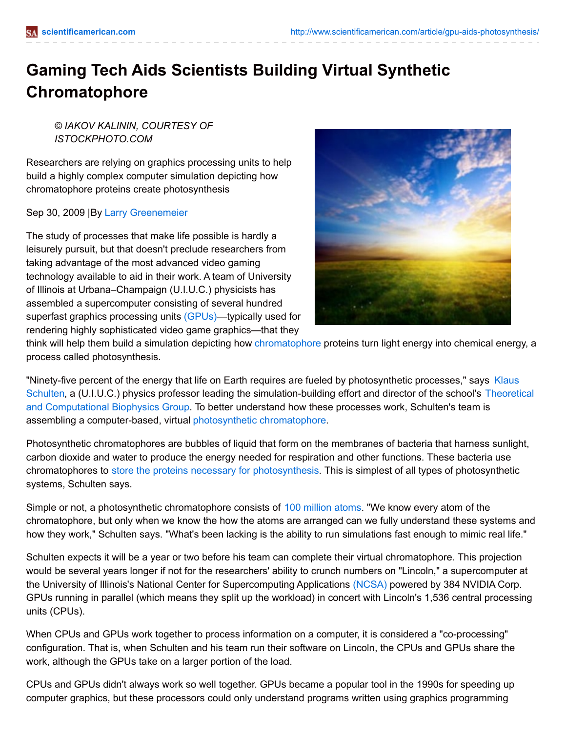## **Gaming Tech Aids Scientists Building Virtual Synthetic Chromatophore**

*© IAKOV KALININ, COURTESY OF ISTOCKPHOTO.COM*

Researchers are relying on graphics processing units to help build a highly complex computer simulation depicting how chromatophore proteins create photosynthesis

Sep 30, 2009 |By Larry [Greenemeier](http://www.scientificamerican.com/author/larry-greenemeier)

The study of processes that make life possible is hardly a leisurely pursuit, but that doesn't preclude researchers from taking advantage of the most advanced video gaming technology available to aid in their work. A team of University of Illinois at Urbana–Champaign (U.I.U.C.) physicists has assembled a supercomputer consisting of several hundred superfast graphics processing units [\(GPUs\)](http://en.wikipedia.org/wiki/Graphics_processing_unit)—typically used for rendering highly sophisticated video game graphics—that they



think will help them build a simulation depicting how [chromatophore](http://en.wikipedia.org/wiki/Chromatophore) proteins turn light energy into chemical energy, a process called photosynthesis.

"Ninety-five percent of the energy that life on Earth requires are fueled by photosynthetic processes," says Klaus Schulten, a (U.I.U.C.) physics professor leading the [simulation-building](http://www.ks.uiuc.edu/) effort and director of the school's Theoretical and Computational Biophysics Group. To better understand how these processes work, Schulten's team is assembling a computer-based, virtual photosynthetic [chromatophore](http://www.ks.uiuc.edu/Research/chromatophore/).

Photosynthetic chromatophores are bubbles of liquid that form on the membranes of bacteria that harness sunlight, carbon dioxide and water to produce the energy needed for respiration and other functions. These bacteria use chromatophores to store the proteins necessary for [photosynthesis](http://www.ks.uiuc.edu/Publications/Papers/paper.cgi?tbcode=CHAN2008). This is simplest of all types of photosynthetic systems, Schulten says.

Simple or not, a photosynthetic chromatophore consists of 100 [million](http://www.tacc.utexas.edu/research/users/features/sult.php) atoms. "We know every atom of the chromatophore, but only when we know the how the atoms are arranged can we fully understand these systems and how they work," Schulten says. "What's been lacking is the ability to run simulations fast enough to mimic real life."

Schulten expects it will be a year or two before his team can complete their virtual chromatophore. This projection would be several years longer if not for the researchers' ability to crunch numbers on "Lincoln," a supercomputer at the University of Illinois's National Center for Supercomputing Applications [\(NCSA\)](http://www.ncsa.illinois.edu/) powered by 384 NVIDIA Corp. GPUs running in parallel (which means they split up the workload) in concert with Lincoln's 1,536 central processing units (CPUs).

When CPUs and GPUs work together to process information on a computer, it is considered a "co-processing" configuration. That is, when Schulten and his team run their software on Lincoln, the CPUs and GPUs share the work, although the GPUs take on a larger portion of the load.

CPUs and GPUs didn't always work so well together. GPUs became a popular tool in the 1990s for speeding up computer graphics, but these processors could only understand programs written using graphics programming